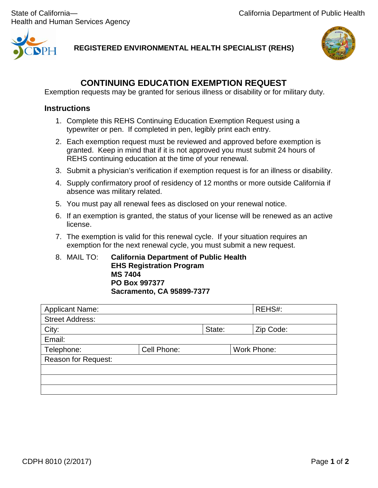Health and Human Services Agency



**REGISTERED ENVIRONMENTAL HEALTH SPECIALIST (REHS)**



# **CONTINUING EDUCATION EXEMPTION REQUEST**

Exemption requests may be granted for serious illness or disability or for military duty.

# **Instructions**

- 1. Complete this REHS Continuing Education Exemption Request using a typewriter or pen. If completed in pen, legibly print each entry.
- 2. Each exemption request must be reviewed and approved before exemption is granted. Keep in mind that if it is not approved you must submit 24 hours of REHS continuing education at the time of your renewal.
- 3. Submit a physician's verification if exemption request is for an illness or disability.
- 4. Supply confirmatory proof of residency of 12 months or more outside California if absence was military related.
- 5. You must pay all renewal fees as disclosed on your renewal notice.
- 6. If an exemption is granted, the status of your license will be renewed as an active license.
- 7. The exemption is valid for this renewal cycle. If your situation requires an exemption for the next renewal cycle, you must submit a new request.
- 8. MAIL TO: **California Department of Public Health EHS Registration Program MS 7404 PO Box 997377 Sacramento, CA 95899-7377**

| <b>Applicant Name:</b>     |             |        | REHS#:      |
|----------------------------|-------------|--------|-------------|
| <b>Street Address:</b>     |             |        |             |
| City:                      |             | State: | Zip Code:   |
| Email:                     |             |        |             |
| Telephone:                 | Cell Phone: |        | Work Phone: |
| <b>Reason for Request:</b> |             |        |             |
|                            |             |        |             |
|                            |             |        |             |
|                            |             |        |             |